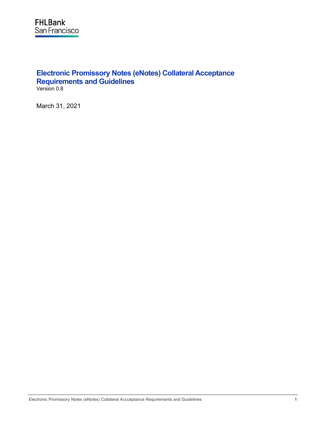# **Electronic Promissory Notes (eNotes) Collateral Acceptance Requirements and Guidelines** Version 0.8

March 31, 2021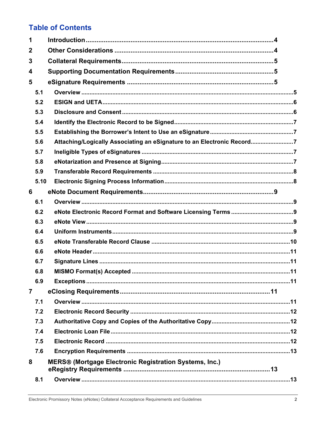# **Table of Contents**

| 1              |      |                                                                          |  |
|----------------|------|--------------------------------------------------------------------------|--|
| $\mathbf 2$    |      |                                                                          |  |
| 3              |      |                                                                          |  |
| 4              |      |                                                                          |  |
| 5              |      |                                                                          |  |
|                | 5.1  |                                                                          |  |
|                | 5.2  |                                                                          |  |
|                | 5.3  |                                                                          |  |
|                | 5.4  |                                                                          |  |
|                | 5.5  |                                                                          |  |
|                | 5.6  | Attaching/Logically Associating an eSignature to an Electronic Record7   |  |
|                | 5.7  |                                                                          |  |
|                | 5.8  |                                                                          |  |
|                | 5.9  |                                                                          |  |
|                | 5.10 |                                                                          |  |
| 6              |      |                                                                          |  |
|                | 6.1  |                                                                          |  |
|                | 6.2  |                                                                          |  |
|                | 6.3  |                                                                          |  |
|                | 6.4  |                                                                          |  |
|                | 6.5  |                                                                          |  |
|                | 6.6  |                                                                          |  |
|                | 6.7  |                                                                          |  |
|                | 6.8  |                                                                          |  |
|                | 6.9  |                                                                          |  |
| $\overline{7}$ |      |                                                                          |  |
|                | 7.1  |                                                                          |  |
|                | 7.2  |                                                                          |  |
|                | 7.3  |                                                                          |  |
|                | 7.4  |                                                                          |  |
|                | 7.5  |                                                                          |  |
|                | 7.6  |                                                                          |  |
| 8              |      | <b>MERS<sup>®</sup></b> (Mortgage Electronic Registration Systems, Inc.) |  |
|                | 8.1  |                                                                          |  |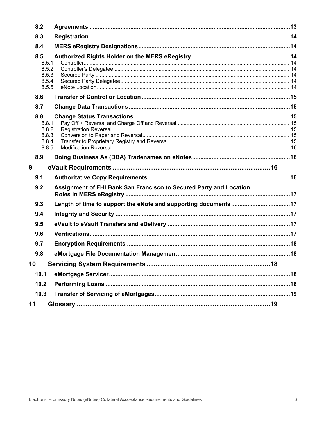| 8.3                                                                      |  |
|--------------------------------------------------------------------------|--|
|                                                                          |  |
| 8.4                                                                      |  |
| 8.5                                                                      |  |
| 8.5.1                                                                    |  |
| 8.5.2<br>8.5.3                                                           |  |
| 8.5.4                                                                    |  |
| 8.5.5                                                                    |  |
| 8.6                                                                      |  |
| 8.7                                                                      |  |
| 8.8                                                                      |  |
| 8.8.1                                                                    |  |
| 8.8.2                                                                    |  |
| 8.8.3<br>8.8.4                                                           |  |
| 8.8.5                                                                    |  |
| 8.9                                                                      |  |
|                                                                          |  |
| 9                                                                        |  |
| 9.1                                                                      |  |
|                                                                          |  |
| Assignment of FHLBank San Francisco to Secured Party and Location<br>9.2 |  |
| 9.3                                                                      |  |
| 9.4                                                                      |  |
| 9.5                                                                      |  |
| 9.6                                                                      |  |
| 9.7                                                                      |  |
| 9.8                                                                      |  |
| 10                                                                       |  |
| 10.1                                                                     |  |
| 10.2                                                                     |  |
| 10.3                                                                     |  |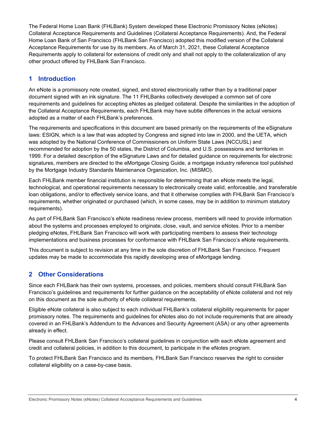The Federal Home Loan Bank (FHLBank) System developed these Electronic Promissory Notes (eNotes) Collateral Acceptance Requirements and Guidelines (Collateral Acceptance Requirements). And, the Federal Home Loan Bank of San Francisco (FHLBank San Francisco) adopted this modified version of the Collateral Acceptance Requirements for use by its members. As of March 31, 2021, these Collateral Acceptance Requirements apply to collateral for extensions of credit only and shall not apply to the collateralization of any other product offered by FHLBank San Francisco.

# <span id="page-3-0"></span>**1 Introduction**

An eNote is a promissory note created, signed, and stored electronically rather than by a traditional paper document signed with an ink signature. The 11 FHLBanks collectively developed a common set of core requirements and guidelines for accepting eNotes as pledged collateral. Despite the similarities in the adoption of the Collateral Acceptance Requirements, each FHLBank may have subtle differences in the actual versions adopted as a matter of each FHLBank's preferences.

The requirements and specifications in this document are based primarily on the requirements of the eSignature laws: ESIGN, which is a law that was adopted by Congress and signed into law in 2000, and the UETA, which was adopted by the National Conference of Commissioners on Uniform State Laws (NCCUSL) and recommended for adoption by the 50 states, the District of Columbia, and U.S. possessions and territories in 1999. For a detailed description of the eSignature Laws and for detailed guidance on requirements for electronic signatures, members are directed to the eMortgage Closing Guide, a mortgage industry reference tool published by the Mortgage Industry Standards Maintenance Organization, Inc. (MISMO).

Each FHLBank member financial institution is responsible for determining that an eNote meets the legal, technological, and operational requirements necessary to electronically create valid, enforceable, and transferable loan obligations, and/or to effectively service loans, and that it otherwise complies with FHLBank San Francisco's requirements, whether originated or purchased (which, in some cases, may be in addition to minimum statutory requirements).

As part of FHLBank San Francisco's eNote readiness review process, members will need to provide information about the systems and processes employed to originate, close, vault, and service eNotes. Prior to a member pledging eNotes, FHLBank San Francisco will work with participating members to assess their technology implementations and business processes for conformance with FHLBank San Francisco's eNote requirements.

This document is subject to revision at any time in the sole discretion of FHLBank San Francisco. Frequent updates may be made to accommodate this rapidly developing area of eMortgage lending.

# <span id="page-3-1"></span>**2 Other Considerations**

Since each FHLBank has their own systems, processes, and policies, members should consult FHLBank San Francisco's guidelines and requirements for further guidance on the acceptability of eNote collateral and not rely on this document as the sole authority of eNote collateral requirements.

Eligible eNote collateral is also subject to each individual FHLBank's collateral eligibility requirements for paper promissory notes. The requirements and guidelines for eNotes also do not include requirements that are already covered in an FHLBank's Addendum to the Advances and Security Agreement (ASA) or any other agreements already in effect.

Please consult FHLBank San Francisco's collateral guidelines in conjunction with each eNote agreement and credit and collateral policies, in addition to this document, to participate in the eNotes program.

To protect FHLBank San Francisco and its members, FHLBank San Francisco reserves the right to consider collateral eligibility on a case-by-case basis.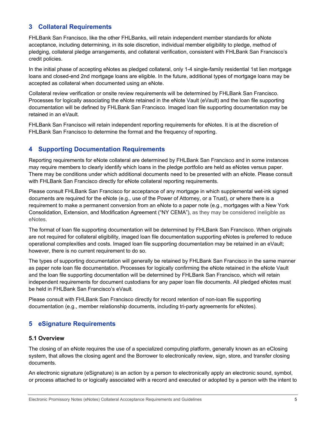# <span id="page-4-0"></span>**3 Collateral Requirements**

FHLBank San Francisco, like the other FHLBanks, will retain independent member standards for eNote acceptance, including determining, in its sole discretion, individual member eligibility to pledge, method of pledging, collateral pledge arrangements, and collateral verification, consistent with FHLBank San Francisco's credit policies.

In the initial phase of accepting eNotes as pledged collateral, only 1-4 single-family residential 1st lien mortgage loans and closed-end 2nd mortgage loans are eligible. In the future, additional types of mortgage loans may be accepted as collateral when documented using an eNote.

Collateral review verification or onsite review requirements will be determined by FHLBank San Francisco. Processes for logically associating the eNote retained in the eNote Vault (eVault) and the loan file supporting documentation will be defined by FHLBank San Francisco. Imaged loan file supporting documentation may be retained in an eVault.

FHLBank San Francisco will retain independent reporting requirements for eNotes. It is at the discretion of FHLBank San Francisco to determine the format and the frequency of reporting.

# <span id="page-4-1"></span>**4 Supporting Documentation Requirements**

Reporting requirements for eNote collateral are determined by FHLBank San Francisco and in some instances may require members to clearly identify which loans in the pledge portfolio are held as eNotes versus paper. There may be conditions under which additional documents need to be presented with an eNote. Please consult with FHLBank San Francisco directly for eNote collateral reporting requirements.

Please consult FHLBank San Francisco for acceptance of any mortgage in which supplemental wet-ink signed documents are required for the eNote (e.g., use of the Power of Attorney, or a Trust), or where there is a requirement to make a permanent conversion from an eNote to a paper note (e.g., mortgages with a New York Consolidation, Extension, and Modification Agreement ("NY CEMA"), as they may be considered ineligible as eNotes.

The format of loan file supporting documentation will be determined by FHLBank San Francisco. When originals are not required for collateral eligibility, imaged loan file documentation supporting eNotes is preferred to reduce operational complexities and costs. Imaged loan file supporting documentation may be retained in an eVault; however, there is no current requirement to do so.

The types of supporting documentation will generally be retained by FHLBank San Francisco in the same manner as paper note loan file documentation. Processes for logically confirming the eNote retained in the eNote Vault and the loan file supporting documentation will be determined by FHLBank San Francisco, which will retain independent requirements for document custodians for any paper loan file documents. All pledged eNotes must be held in FHLBank San Francisco's eVault.

Please consult with FHLBank San Francisco directly for record retention of non-loan file supporting documentation (e.g., member relationship documents, including tri-party agreements for eNotes).

# <span id="page-4-2"></span>**5 eSignature Requirements**

## <span id="page-4-3"></span>**5.1 Overview**

The closing of an eNote requires the use of a specialized computing platform, generally known as an eClosing system, that allows the closing agent and the Borrower to electronically review, sign, store, and transfer closing documents.

An electronic signature (eSignature) is an action by a person to electronically apply an electronic sound, symbol, or process attached to or logically associated with a record and executed or adopted by a person with the intent to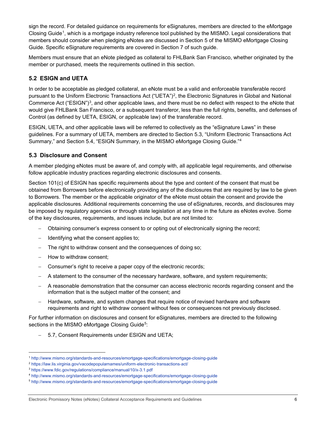sign the record. For detailed guidance on requirements for eSignatures, members are directed to the eMortgage Closing Guide<sup>1</sup>, which is a mortgage industry reference tool published by the MISMO. Legal considerations that members should consider when pledging eNotes are discussed in Section 5 of the MISMO eMortgage Closing Guide. Specific eSignature requirements are covered in Section 7 of such guide.

Members must ensure that an eNote pledged as collateral to FHLBank San Francisco, whether originated by the member or purchased, meets the requirements outlined in this section.

# <span id="page-5-0"></span>**5.2 ESIGN and UETA**

In order to be acceptable as pledged collateral, an eNote must be a valid and enforceable transferable record pursuant to the Uniform Electronic Transactions Act ("UETA")<sup>[2](#page-5-3)</sup>, the Electronic Signatures in Global and National Commerce Act ("ESIGN")[3](#page-5-4), and other applicable laws, and there must be no defect with respect to the eNote that would give FHLBank San Francisco, or a subsequent transferor, less than the full rights, benefits, and defenses of Control (as defined by UETA, ESIGN, or applicable law) of the transferable record.

ESIGN, UETA, and other applicable laws will be referred to collectively as the "eSignature Laws" in these guidelines. For a summary of UETA, members are directed to Section 5.3, "Uniform Electronic Transactions Act Summary," and Section 5.4, "ESIGN Summary, in the MISMO eMortgage Closing Guide."[4](#page-5-5)

## <span id="page-5-1"></span>**5.3 Disclosure and Consent**

A member pledging eNotes must be aware of, and comply with, all applicable legal requirements, and otherwise follow applicable industry practices regarding electronic disclosures and consents.

Section 101(c) of ESIGN has specific requirements about the type and content of the consent that must be obtained from Borrowers before electronically providing any of the disclosures that are required by law to be given to Borrowers. The member or the applicable originator of the eNote must obtain the consent and provide the applicable disclosures. Additional requirements concerning the use of eSignatures, records, and disclosures may be imposed by regulatory agencies or through state legislation at any time in the future as eNotes evolve. Some of the key disclosures, requirements, and issues include, but are not limited to:

- − Obtaining consumer's express consent to or opting out of electronically signing the record;
- Hentifying what the consent applies to;
- The right to withdraw consent and the consequences of doing so;
- − How to withdraw consent;
- − Consumer's right to receive a paper copy of the electronic records;
- − A statement to the consumer of the necessary hardware, software, and system requirements;
- − A reasonable demonstration that the consumer can access electronic records regarding consent and the information that is the subject matter of the consent; and
- Hardware, software, and system changes that require notice of revised hardware and software requirements and right to withdraw consent without fees or consequences not previously disclosed.

For further information on disclosures and consent for eSignatures, members are directed to the following sections in the MISMO eMortgage Closing Guide<sup>5</sup>:

− 5.7, Consent Requirements under ESIGN and UETA;

<span id="page-5-2"></span><sup>1</sup> <http://www.mismo.org/standards-and-resources/emortgage-specifications/emortgage-closing-guide>

<span id="page-5-3"></span><sup>2</sup> [https://law.lis.virginia.gov/vacodepopularnames/uniform](https://law.lis.virginia.gov/vacodepopularnames/uniform%E2%80%90electronic%E2%80%90transactions%E2%80%90act/)‐electronic‐transactions‐act/

<span id="page-5-4"></span><sup>3</sup> <https://www.fdic.gov/regulations/compliance/manual/10/x-3.1.pdf>

<span id="page-5-5"></span><sup>4</sup> <http://www.mismo.org/standards-and-resources/emortgage-specifications/emortgage-closing-guide>

<span id="page-5-6"></span><sup>5</sup> <http://www.mismo.org/standards-and-resources/emortgage-specifications/emortgage-closing-guide>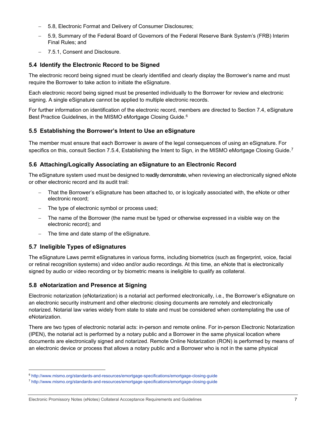- − 5.8, Electronic Format and Delivery of Consumer Disclosures;
- − 5.9, Summary of the Federal Board of Governors of the Federal Reserve Bank System's (FRB) Interim Final Rules; and
- <span id="page-6-0"></span>− 7.5.1, Consent and Disclosure.

# **5.4 Identify the Electronic Record to be Signed**

The electronic record being signed must be clearly identified and clearly display the Borrower's name and must require the Borrower to take action to initiate the eSignature.

Each electronic record being signed must be presented individually to the Borrower for review and electronic signing. A single eSignature cannot be applied to multiple electronic records.

For further information on identification of the electronic record, members are directed to Section 7.4, eSignature Best Practice Guidelines, in the MISMO eMortgage Closing Guide.<sup>[6](#page-6-5)</sup>

# <span id="page-6-1"></span>**5.5 Establishing the Borrower's Intent to Use an eSignature**

The member must ensure that each Borrower is aware of the legal consequences of using an eSignature. For specifics on this, consult Section [7](#page-6-6).5.4, Establishing the Intent to Sign, in the MISMO eMortgage Closing Guide. $^7$ 

# <span id="page-6-2"></span>**5.6 Attaching/Logically Associating an eSignature to an Electronic Record**

The eSignature system used must be designed to readily demonstrate, when reviewing an electronically signed eNote or other electronic record and its audit trail:

- That the Borrower's eSignature has been attached to, or is logically associated with, the eNote or other electronic record;
- − The type of electronic symbol or process used;
- The name of the Borrower (the name must be typed or otherwise expressed in a visible way on the electronic record); and
- <span id="page-6-3"></span>The time and date stamp of the eSignature.

# **5.7 Ineligible Types of eSignatures**

The eSignature Laws permit eSignatures in various forms, including biometrics (such as fingerprint, voice, facial or retinal recognition systems) and video and/or audio recordings. At this time, an eNote that is electronically signed by audio or video recording or by biometric means is ineligible to qualify as collateral.

## <span id="page-6-4"></span>**5.8 eNotarization and Presence at Signing**

Electronic notarization (eNotarization) is a notarial act performed electronically, i.e., the Borrower's eSignature on an electronic security instrument and other electronic closing documents are remotely and electronically notarized. Notarial law varies widely from state to state and must be considered when contemplating the use of eNotarization.

There are two types of electronic notarial acts: in-person and remote online. For in-person Electronic Notarization (IPEN), the notarial act is performed by a notary public and a Borrower in the same physical location where documents are electronically signed and notarized. Remote Online Notarization (RON) is performed by means of an electronic device or process that allows a notary public and a Borrower who is not in the same physical

<span id="page-6-5"></span><sup>6</sup> <http://www.mismo.org/standards-and-resources/emortgage-specifications/emortgage-closing-guide>

<span id="page-6-6"></span><sup>7</sup> <http://www.mismo.org/standards-and-resources/emortgage-specifications/emortgage-closing-guide>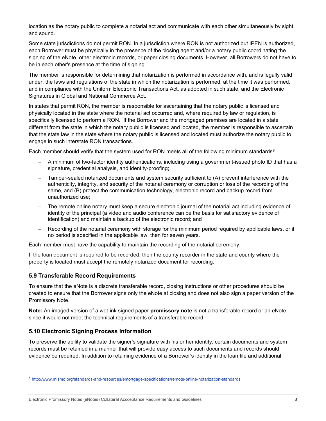location as the notary public to complete a notarial act and communicate with each other simultaneously by sight and sound.

Some state jurisdictions do not permit RON. In a jurisdiction where RON is not authorized but IPEN is authorized, each Borrower must be physically in the presence of the closing agent and/or a notary public coordinating the signing of the eNote, other electronic records, or paper closing documents. However, all Borrowers do not have to be in each other's presence at the time of signing.

The member is responsible for determining that notarization is performed in accordance with, and is legally valid under, the laws and regulations of the state in which the notarization is performed, at the time it was performed, and in compliance with the Uniform Electronic Transactions Act, as adopted in such state, and the Electronic Signatures in Global and National Commerce Act.

In states that permit RON, the member is responsible for ascertaining that the notary public is licensed and physically located in the state where the notarial act occurred and, where required by law or regulation, is specifically licensed to perform a RON. If the Borrower and the mortgaged premises are located in a state different from the state in which the notary public is licensed and located, the member is responsible to ascertain that the state law in the state where the notary public is licensed and located must authorize the notary public to engage in such interstate RON transactions.

Each member should verify that the system used for RON meets all of the following minimum standards<sup>8</sup>.

- − A minimum of two-factor identity authentications, including using a government-issued photo ID that has a signature, credential analysis, and identity-proofing;
- Tamper-sealed notarized documents and system security sufficient to (A) prevent interference with the authenticity, integrity, and security of the notarial ceremony or corruption or loss of the recording of the same, and (B) protect the communication technology, electronic record and backup record from unauthorized use;
- The remote online notary must keep a secure electronic journal of the notarial act including evidence of identity of the principal (a video and audio conference can be the basis for satisfactory evidence of identification) and maintain a backup of the electronic record; and
- Recording of the notarial ceremony with storage for the minimum period required by applicable laws, or if no period is specified in the applicable law, then for seven years.

Each member must have the capability to maintain the recording of the notarial ceremony.

If the loan document is required to be recorded, then the county recorder in the state and county where the property is located must accept the remotely notarized document for recording.

## <span id="page-7-0"></span>**5.9 Transferable Record Requirements**

To ensure that the eNote is a discrete transferable record, closing instructions or other procedures should be created to ensure that the Borrower signs only the eNote at closing and does not also sign a paper version of the Promissory Note.

**Note:** An imaged version of a wet-ink signed paper **promissory note** is not a transferable record or an eNote since it would not meet the technical requirements of a transferable record.

## <span id="page-7-1"></span>**5.10 Electronic Signing Process Information**

To preserve the ability to validate the signer's signature with his or her identity, certain documents and system records must be retained in a manner that will provide easy access to such documents and records should evidence be required. In addition to retaining evidence of a Borrower's identity in the loan file and additional

<span id="page-7-2"></span><sup>8</sup> <http://www.mismo.org/standards-and-resources/emortgage-specifications/remote-online-notarization-standards>

Electronic Promissory Notes (eNotes) Collateral Accceptance Requirements and Guidelines 8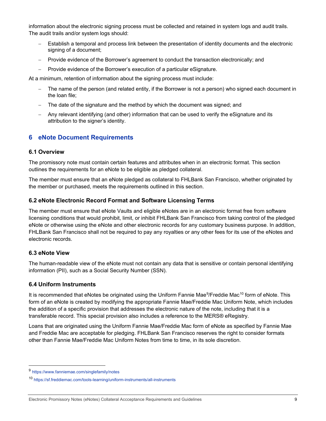information about the electronic signing process must be collected and retained in system logs and audit trails. The audit trails and/or system logs should:

- Establish a temporal and process link between the presentation of identity documents and the electronic signing of a document;
- − Provide evidence of the Borrower's agreement to conduct the transaction electronically; and
- − Provide evidence of the Borrower's execution of a particular eSignature.

At a minimum, retention of information about the signing process must include:

- The name of the person (and related entity, if the Borrower is not a person) who signed each document in the loan file;
- The date of the signature and the method by which the document was signed; and
- − Any relevant identifying (and other) information that can be used to verify the eSignature and its attribution to the signer's identity.

# <span id="page-8-0"></span>**6 eNote Document Requirements**

#### <span id="page-8-1"></span>**6.1 Overview**

The promissory note must contain certain features and attributes when in an electronic format. This section outlines the requirements for an eNote to be eligible as pledged collateral.

The member must ensure that an eNote pledged as collateral to FHLBank San Francisco, whether originated by the member or purchased, meets the requirements outlined in this section.

#### <span id="page-8-2"></span>**6.2 eNote Electronic Record Format and Software Licensing Terms**

The member must ensure that eNote Vaults and eligible eNotes are in an electronic format free from software licensing conditions that would prohibit, limit, or inhibit FHLBank San Francisco from taking control of the pledged eNote or otherwise using the eNote and other electronic records for any customary business purpose. In addition, FHLBank San Francisco shall not be required to pay any royalties or any other fees for its use of the eNotes and electronic records.

#### <span id="page-8-3"></span>**6.3 eNote View**

The human-readable view of the eNote must not contain any data that is sensitive or contain personal identifying information (PII), such as a Social Security Number (SSN).

#### <span id="page-8-4"></span>**6.4 Uniform Instruments**

It is recommended that eNotes be originated using the Uniform Fannie Mae<sup>9</sup>/Freddie Mac<sup>[10](#page-8-6)</sup> form of eNote. This form of an eNote is created by modifying the appropriate Fannie Mae/Freddie Mac Uniform Note, which includes the addition of a specific provision that addresses the electronic nature of the note, including that it is a transferable record. This special provision also includes a reference to the MERS® eRegistry.

Loans that are originated using the Uniform Fannie Mae/Freddie Mac form of eNote as specified by Fannie Mae and Freddie Mac are acceptable for pledging. FHLBank San Francisco reserves the right to consider formats other than Fannie Mae/Freddie Mac Uniform Notes from time to time, in its sole discretion.

<span id="page-8-5"></span><sup>9</sup> <https://www.fanniemae.com/singlefamily/notes>

<span id="page-8-6"></span><sup>10</sup> <https://sf.freddiemac.com/tools-learning/uniform-instruments/all-instruments>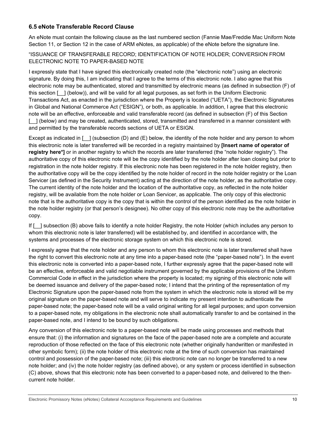# <span id="page-9-0"></span>**6.5 eNote Transferable Record Clause**

An eNote must contain the following clause as the last numbered section (Fannie Mae/Freddie Mac Uniform Note Section 11, or Section 12 in the case of ARM eNotes, as applicable) of the eNote before the signature line.

"ISSUANCE OF TRANSFERABLE RECORD; IDENTIFICATION OF NOTE HOLDER; CONVERSION FROM ELECTRONIC NOTE TO PAPER-BASED NOTE

I expressly state that I have signed this electronically created note (the "electronic note") using an electronic signature. By doing this, I am indicating that I agree to the terms of this electronic note. I also agree that this electronic note may be authenticated, stored and transmitted by electronic means (as defined in subsection (F) of this section [\_\_] (below)), and will be valid for all legal purposes, as set forth in the Uniform Electronic Transactions Act, as enacted in the jurisdiction where the Property is located ("UETA"), the Electronic Signatures in Global and National Commerce Act ("ESIGN"), or both, as applicable. In addition, I agree that this electronic note will be an effective, enforceable and valid transferable record (as defined in subsection (F) of this Section [ ] (below) and may be created, authenticated, stored, transmitted and transferred in a manner consistent with and permitted by the transferable records sections of UETA or ESIGN.

Except as indicated in  $\lceil \quad \rceil$  (subsection (D) and (E) below, the identity of the note holder and any person to whom this electronic note is later transferred will be recorded in a registry maintained by **[Insert name of operator of registry here\*]** or in another registry to which the records are later transferred (the "note holder registry"). The authoritative copy of this electronic note will be the copy identified by the note holder after loan closing but prior to registration in the note holder registry. If this electronic note has been registered in the note holder registry, then the authoritative copy will be the copy identified by the note holder of record in the note holder registry or the Loan Servicer (as defined in the Security Instrument) acting at the direction of the note holder, as the authoritative copy. The current identity of the note holder and the location of the authoritative copy, as reflected in the note holder registry, will be available from the note holder or Loan Servicer, as applicable. The only copy of this electronic note that is the authoritative copy is the copy that is within the control of the person identified as the note holder in the note holder registry (or that person's designee). No other copy of this electronic note may be the authoritative copy.

If [ ] subsection (B) above fails to identify a note holder Registry, the note Holder (which includes any person to whom this electronic note is later transferred) will be established by, and identified in accordance with, the systems and processes of the electronic storage system on which this electronic note is stored.

I expressly agree that the note holder and any person to whom this electronic note is later transferred shall have the right to convert this electronic note at any time into a paper-based note (the "paper-based note"). In the event this electronic note is converted into a paper-based note, I further expressly agree that the paper-based note will be an effective, enforceable and valid negotiable instrument governed by the applicable provisions of the Uniform Commercial Code in effect in the jurisdiction where the property is located; my signing of this electronic note will be deemed issuance and delivery of the paper-based note; I intend that the printing of the representation of my Electronic Signature upon the paper-based note from the system in which the electronic note is stored will be my original signature on the paper-based note and will serve to indicate my present intention to authenticate the paper-based note; the paper-based note will be a valid original writing for all legal purposes; and upon conversion to a paper-based note, my obligations in the electronic note shall automatically transfer to and be contained in the paper-based note, and I intend to be bound by such obligations.

Any conversion of this electronic note to a paper-based note will be made using processes and methods that ensure that: (i) the information and signatures on the face of the paper-based note are a complete and accurate reproduction of those reflected on the face of this electronic note (whether originally handwritten or manifested in other symbolic form); (ii) the note holder of this electronic note at the time of such conversion has maintained control and possession of the paper-based note; (iii) this electronic note can no longer be transferred to a new note holder; and (iv) the note holder registry (as defined above), or any system or process identified in subsection (C) above, shows that this electronic note has been converted to a paper-based note, and delivered to the thencurrent note holder.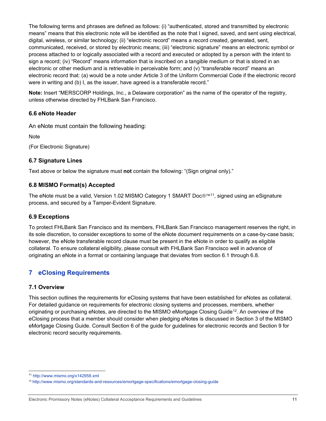The following terms and phrases are defined as follows: (i) "authenticated, stored and transmitted by electronic means" means that this electronic note will be identified as the note that I signed, saved, and sent using electrical, digital, wireless, or similar technology; (ii) "electronic record" means a record created, generated, sent, communicated, received, or stored by electronic means; (iii) "electronic signature" means an electronic symbol or process attached to or logically associated with a record and executed or adopted by a person with the intent to sign a record; (iv) "Record" means information that is inscribed on a tangible medium or that is stored in an electronic or other medium and is retrievable in perceivable form; and (v) "transferable record" means an electronic record that: (a) would be a note under Article 3 of the Uniform Commercial Code if the electronic record were in writing and (b) I, as the issuer, have agreed is a transferable record."

**Note:** Insert "MERSCORP Holdings, Inc., a Delaware corporation" as the name of the operator of the registry, unless otherwise directed by FHLBank San Francisco.

## <span id="page-10-0"></span>**6.6 eNote Header**

An eNote must contain the following heading:

**Note** 

(For Electronic Signature)

#### <span id="page-10-1"></span>**6.7 Signature Lines**

Text above or below the signature must **not** contain the following: "(Sign original only)."

#### <span id="page-10-2"></span>**6.8 MISMO Format(s) Accepted**

The eNote must be a valid, Version 1.02 MISMO Category 1 SMART Doc®™<sup>11</sup>, signed using an eSignature process, and secured by a Tamper-Evident Signature.

#### <span id="page-10-3"></span>**6.9 Exceptions**

To protect FHLBank San Francisco and its members, FHLBank San Francisco management reserves the right, in its sole discretion, to consider exceptions to some of the eNote document requirements on a case-by-case basis; however, the eNote transferable record clause must be present in the eNote in order to qualify as eligible collateral. To ensure collateral eligibility, please consult with FHLBank San Francisco well in advance of originating an eNote in a format or containing language that deviates from section 6.1 through 6.8.

# <span id="page-10-4"></span>**7 eClosing Requirements**

#### <span id="page-10-5"></span>**7.1 Overview**

This section outlines the requirements for eClosing systems that have been established for eNotes as collateral. For detailed guidance on requirements for electronic closing systems and processes, members, whether originating or purchasing eNotes, are directed to the MISMO eMortgage Closing Guide<sup>12</sup>. An overview of the eClosing process that a member should consider when pledging eNotes is discussed in Section 3 of the MISMO eMortgage Closing Guide. Consult Section 6 of the guide for guidelines for electronic records and Section 9 for electronic record security requirements.

<span id="page-10-6"></span><sup>11</sup> <http://www.mismo.org/x142958.xml>

<span id="page-10-7"></span><sup>12</sup> <http://www.mismo.org/standards-and-resources/emortgage-specifications/emortgage-closing-guide>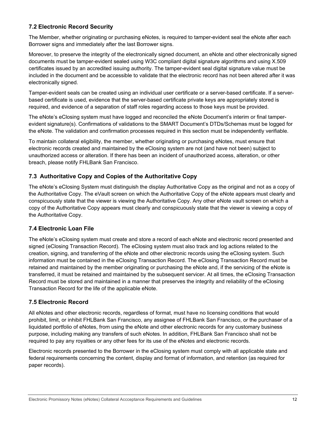# <span id="page-11-0"></span>**7.2 Electronic Record Security**

The Member, whether originating or purchasing eNotes, is required to tamper-evident seal the eNote after each Borrower signs and immediately after the last Borrower signs.

Moreover, to preserve the integrity of the electronically signed document, an eNote and other electronically signed documents must be tamper-evident sealed using W3C compliant digital signature algorithms and using X.509 certificates issued by an accredited issuing authority. The tamper-evident seal digital signature value must be included in the document and be accessible to validate that the electronic record has not been altered after it was electronically signed.

Tamper-evident seals can be created using an individual user certificate or a server-based certificate. If a serverbased certificate is used, evidence that the server-based certificate private keys are appropriately stored is required, and evidence of a separation of staff roles regarding access to those keys must be provided.

The eNote's eClosing system must have logged and reconciled the eNote Document's interim or final tamperevident signature(s). Confirmations of validations to the SMART Document's DTDs/Schemas must be logged for the eNote. The validation and confirmation processes required in this section must be independently verifiable.

To maintain collateral eligibility, the member, whether originating or purchasing eNotes, must ensure that electronic records created and maintained by the eClosing system are not (and have not been) subject to unauthorized access or alteration. If there has been an incident of unauthorized access, alteration, or other breach, please notify FHLBank San Francisco.

# <span id="page-11-1"></span>**7.3 Authoritative Copy and Copies of the Authoritative Copy**

The eNote's eClosing System must distinguish the display Authoritative Copy as the original and not as a copy of the Authoritative Copy. The eVault screen on which the Authoritative Copy of the eNote appears must clearly and conspicuously state that the viewer is viewing the Authoritative Copy. Any other eNote vault screen on which a copy of the Authoritative Copy appears must clearly and conspicuously state that the viewer is viewing a copy of the Authoritative Copy.

## <span id="page-11-2"></span>**7.4 Electronic Loan File**

The eNote's eClosing system must create and store a record of each eNote and electronic record presented and signed (eClosing Transaction Record). The eClosing system must also track and log actions related to the creation, signing, and transferring of the eNote and other electronic records using the eClosing system. Such information must be contained in the eClosing Transaction Record. The eClosing Transaction Record must be retained and maintained by the member originating or purchasing the eNote and, if the servicing of the eNote is transferred, it must be retained and maintained by the subsequent servicer. At all times, the eClosing Transaction Record must be stored and maintained in a manner that preserves the integrity and reliability of the eClosing Transaction Record for the life of the applicable eNote.

## <span id="page-11-3"></span>**7.5 Electronic Record**

All eNotes and other electronic records, regardless of format, must have no licensing conditions that would prohibit, limit, or inhibit FHLBank San Francisco, any assignee of FHLBank San Francisco, or the purchaser of a liquidated portfolio of eNotes, from using the eNote and other electronic records for any customary business purpose, including making any transfers of such eNotes. In addition, FHLBank San Francisco shall not be required to pay any royalties or any other fees for its use of the eNotes and electronic records.

Electronic records presented to the Borrower in the eClosing system must comply with all applicable state and federal requirements concerning the content, display and format of information, and retention (as required for paper records).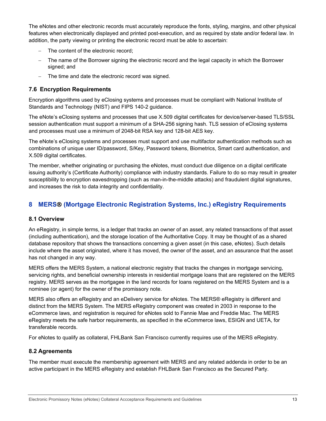The eNotes and other electronic records must accurately reproduce the fonts, styling, margins, and other physical features when electronically displayed and printed post-execution, and as required by state and/or federal law. In addition, the party viewing or printing the electronic record must be able to ascertain:

- The content of the electronic record:
- The name of the Borrower signing the electronic record and the legal capacity in which the Borrower signed; and
- <span id="page-12-0"></span>− The time and date the electronic record was signed.

# **7.6 Encryption Requirements**

Encryption algorithms used by eClosing systems and processes must be compliant with National Institute of Standards and Technology (NIST) and FIPS 140-2 guidance.

The eNote's eClosing systems and processes that use X.509 digital certificates for device/server-based TLS/SSL session authentication must support a minimum of a SHA-256 signing hash. TLS session of eClosing systems and processes must use a minimum of 2048-bit RSA key and 128-bit AES key.

The eNote's eClosing systems and processes must support and use multifactor authentication methods such as combinations of unique user ID/password, S/Key, Password tokens, Biometrics, Smart card authentication, and X.509 digital certificates.

The member, whether originating or purchasing the eNotes, must conduct due diligence on a digital certificate issuing authority's (Certificate Authority) compliance with industry standards. Failure to do so may result in greater susceptibility to encryption eavesdropping (such as man-in-the-middle attacks) and fraudulent digital signatures, and increases the risk to data integrity and confidentiality.

# <span id="page-12-1"></span>**8 MERS (Mortgage Electronic Registration Systems, Inc.) eRegistry Requirements**

## <span id="page-12-2"></span>**8.1 Overview**

An eRegistry, in simple terms, is a ledger that tracks an owner of an asset, any related transactions of that asset (including authentication), and the storage location of the Authoritative Copy. It may be thought of as a shared database repository that shows the transactions concerning a given asset (in this case, eNotes). Such details include where the asset originated, where it has moved, the owner of the asset, and an assurance that the asset has not changed in any way.

MERS offers the MERS System, a national electronic registry that tracks the changes in mortgage servicing, servicing rights, and beneficial ownership interests in residential mortgage loans that are registered on the MERS registry. MERS serves as the mortgagee in the land records for loans registered on the MERS System and is a nominee (or agent) for the owner of the promissory note.

MERS also offers an eRegistry and an eDelivery service for eNotes. The MERS® eRegistry is different and distinct from the MERS System. The MERS eRegistry component was created in 2003 in response to the eCommerce laws, and registration is required for eNotes sold to Fannie Mae and Freddie Mac. The MERS eRegistry meets the safe harbor requirements, as specified in the eCommerce laws, ESIGN and UETA, for transferable records.

For eNotes to qualify as collateral, FHLBank San Francisco currently requires use of the MERS eRegistry.

## <span id="page-12-3"></span>**8.2 Agreements**

The member must execute the membership agreement with MERS and any related addenda in order to be an active participant in the MERS eRegistry and establish FHLBank San Francisco as the Secured Party.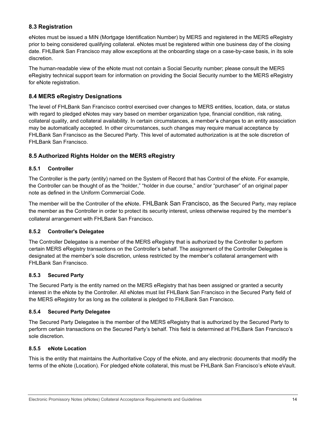# <span id="page-13-0"></span>**8.3 Registration**

eNotes must be issued a MIN (Mortgage Identification Number) by MERS and registered in the MERS eRegistry prior to being considered qualifying collateral. eNotes must be registered within one business day of the closing date. FHLBank San Francisco may allow exceptions at the onboarding stage on a case-by-case basis, in its sole discretion.

The human-readable view of the eNote must not contain a Social Security number; please consult the MERS eRegistry technical support team for information on providing the Social Security number to the MERS eRegistry for eNote registration.

# <span id="page-13-1"></span>**8.4 MERS eRegistry Designations**

The level of FHLBank San Francisco control exercised over changes to MERS entities, location, data, or status with regard to pledged eNotes may vary based on member organization type, financial condition, risk rating, collateral quality, and collateral availability. In certain circumstances, a member's changes to an entity association may be automatically accepted. In other circumstances, such changes may require manual acceptance by FHLBank San Francisco as the Secured Party. This level of automated authorization is at the sole discretion of FHLBank San Francisco.

# <span id="page-13-2"></span>**8.5 Authorized Rights Holder on the MERS eRegistry**

#### <span id="page-13-3"></span>**8.5.1 Controller**

The Controller is the party (entity) named on the System of Record that has Control of the eNote. For example, the Controller can be thought of as the "holder," "holder in due course," and/or "purchaser" of an original paper note as defined in the Uniform Commercial Code.

The member will be the Controller of the eNote. FHLBank San Francisco, as the Secured Party, may replace the member as the Controller in order to protect its security interest, unless otherwise required by the member's collateral arrangement with FHLBank San Francisco.

#### <span id="page-13-4"></span>**8.5.2 Controller's Delegatee**

The Controller Delegatee is a member of the MERS eRegistry that is authorized by the Controller to perform certain MERS eRegistry transactions on the Controller's behalf. The assignment of the Controller Delegatee is designated at the member's sole discretion, unless restricted by the member's collateral arrangement with FHLBank San Francisco.

#### <span id="page-13-5"></span>**8.5.3 Secured Party**

The Secured Party is the entity named on the MERS eRegistry that has been assigned or granted a security interest in the eNote by the Controller. All eNotes must list FHLBank San Francisco in the Secured Party field of the MERS eRegistry for as long as the collateral is pledged to FHLBank San Francisco.

#### <span id="page-13-6"></span>**8.5.4 Secured Party Delegatee**

The Secured Party Delegatee is the member of the MERS eRegistry that is authorized by the Secured Party to perform certain transactions on the Secured Party's behalf. This field is determined at FHLBank San Francisco's sole discretion.

#### <span id="page-13-7"></span>**8.5.5 eNote Location**

This is the entity that maintains the Authoritative Copy of the eNote, and any electronic documents that modify the terms of the eNote (Location). For pledged eNote collateral, this must be FHLBank San Francisco's eNote eVault.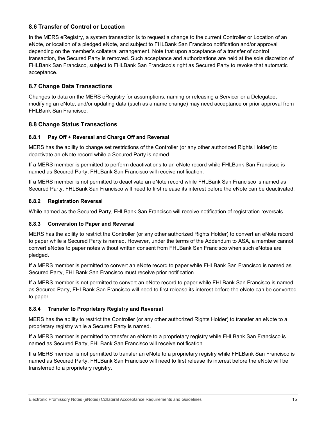# <span id="page-14-0"></span>**8.6 Transfer of Control or Location**

In the MERS eRegistry, a system transaction is to request a change to the current Controller or Location of an eNote, or location of a pledged eNote, and subject to FHLBank San Francisco notification and/or approval depending on the member's collateral arrangement. Note that upon acceptance of a transfer of control transaction, the Secured Party is removed. Such acceptance and authorizations are held at the sole discretion of FHLBank San Francisco, subject to FHLBank San Francisco's right as Secured Party to revoke that automatic acceptance.

# <span id="page-14-1"></span>**8.7 Change Data Transactions**

Changes to data on the MERS eRegistry for assumptions, naming or releasing a Servicer or a Delegatee, modifying an eNote, and/or updating data (such as a name change) may need acceptance or prior approval from FHLBank San Francisco.

## <span id="page-14-2"></span>**8.8 Change Status Transactions**

#### <span id="page-14-3"></span>**8.8.1 Pay Off + Reversal and Charge Off and Reversal**

MERS has the ability to change set restrictions of the Controller (or any other authorized Rights Holder) to deactivate an eNote record while a Secured Party is named.

If a MERS member is permitted to perform deactivations to an eNote record while FHLBank San Francisco is named as Secured Party, FHLBank San Francisco will receive notification.

If a MERS member is not permitted to deactivate an eNote record while FHLBank San Francisco is named as Secured Party, FHLBank San Francisco will need to first release its interest before the eNote can be deactivated.

#### <span id="page-14-4"></span>**8.8.2 Registration Reversal**

While named as the Secured Party, FHLBank San Francisco will receive notification of registration reversals.

#### <span id="page-14-5"></span>**8.8.3 Conversion to Paper and Reversal**

MERS has the ability to restrict the Controller (or any other authorized Rights Holder) to convert an eNote record to paper while a Secured Party is named. However, under the terms of the Addendum to ASA, a member cannot convert eNotes to paper notes without written consent from FHLBank San Francisco when such eNotes are pledged.

If a MERS member is permitted to convert an eNote record to paper while FHLBank San Francisco is named as Secured Party, FHLBank San Francisco must receive prior notification.

If a MERS member is not permitted to convert an eNote record to paper while FHLBank San Francisco is named as Secured Party, FHLBank San Francisco will need to first release its interest before the eNote can be converted to paper.

#### <span id="page-14-6"></span>**8.8.4 Transfer to Proprietary Registry and Reversal**

MERS has the ability to restrict the Controller (or any other authorized Rights Holder) to transfer an eNote to a proprietary registry while a Secured Party is named.

If a MERS member is permitted to transfer an eNote to a proprietary registry while FHLBank San Francisco is named as Secured Party, FHLBank San Francisco will receive notification.

If a MERS member is not permitted to transfer an eNote to a proprietary registry while FHLBank San Francisco is named as Secured Party, FHLBank San Francisco will need to first release its interest before the eNote will be transferred to a proprietary registry.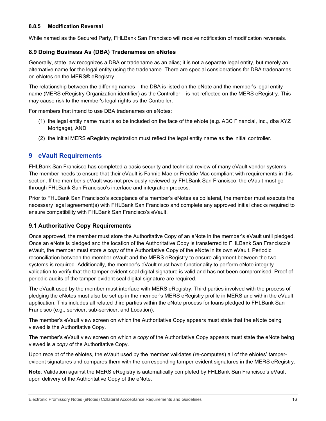#### <span id="page-15-0"></span>**8.8.5 Modification Reversal**

While named as the Secured Party, FHLBank San Francisco will receive notification of modification reversals.

### <span id="page-15-1"></span>**8.9 Doing Business As (DBA) Tradenames on eNotes**

Generally, state law recognizes a DBA or tradename as an alias; it is not a separate legal entity, but merely an alternative name for the legal entity using the tradename. There are special considerations for DBA tradenames on eNotes on the MERS® eRegistry.

The relationship between the differing names – the DBA is listed on the eNote and the member's legal entity name (MERS eRegistry Organization identifier) as the Controller – is not reflected on the MERS eRegistry. This may cause risk to the member's legal rights as the Controller.

For members that intend to use DBA tradenames on eNotes:

- (1) the legal entity name must also be included on the face of the eNote (e.g. ABC Financial, Inc., dba XYZ Mortgage), AND
- (2) the initial MERS eRegistry registration must reflect the legal entity name as the initial controller.

# <span id="page-15-2"></span>**9 eVault Requirements**

FHLBank San Francisco has completed a basic security and technical review of many eVault vendor systems. The member needs to ensure that their eVault is Fannie Mae or Freddie Mac compliant with requirements in this section. If the member's eVault was not previously reviewed by FHLBank San Francisco, the eVault must go through FHLBank San Francisco's interface and integration process.

Prior to FHLBank San Francisco's acceptance of a member's eNotes as collateral, the member must execute the necessary legal agreement(s) with FHLBank San Francisco and complete any approved initial checks required to ensure compatibility with FHLBank San Francisco's eVault.

## <span id="page-15-3"></span>**9.1 Authoritative Copy Requirements**

Once approved, the member must store the Authoritative Copy of an eNote in the member's eVault until pledged. Once an eNote is pledged and the location of the Authoritative Copy is transferred to FHLBank San Francisco's eVault, the member must store *a copy* of the Authoritative Copy of the eNote in its own eVault. Periodic reconciliation between the member eVault and the MERS eRegistry to ensure alignment between the two systems is required. Additionally, the member's eVault must have functionality to perform eNote integrity validation to verify that the tamper-evident seal digital signature is valid and has not been compromised. Proof of periodic audits of the tamper-evident seal digital signature are required.

The eVault used by the member must interface with MERS eRegistry. Third parties involved with the process of pledging the eNotes must also be set up in the member's MERS eRegistry profile in MERS and within the eVault application. This includes all related third parties within the eNote process for loans pledged to FHLBank San Francisco (e.g., servicer, sub-servicer, and Location).

The member's eVault view screen on which the Authoritative Copy appears must state that the eNote being viewed is the Authoritative Copy.

The member's eVault view screen on which *a copy* of the Authoritative Copy appears must state the eNote being viewed is *a copy* of the Authoritative Copy.

Upon receipt of the eNotes, the eVault used by the member validates (re-computes) all of the eNotes' tamperevident signatures and compares them with the corresponding tamper-evident signatures in the MERS eRegistry.

**Note**: Validation against the MERS eRegistry is automatically completed by FHLBank San Francisco's eVault upon delivery of the Authoritative Copy of the eNote.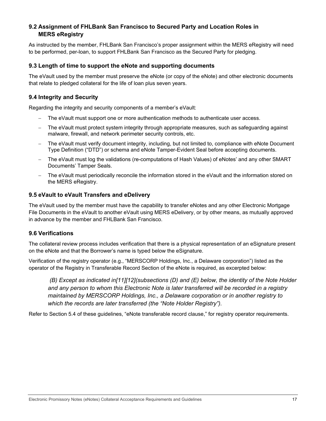# <span id="page-16-0"></span>**9.2 Assignment of FHLBank San Francisco to Secured Party and Location Roles in MERS eRegistry**

As instructed by the member, FHLBank San Francisco's proper assignment within the MERS eRegistry will need to be performed, per-loan, to support FHLBank San Francisco as the Secured Party for pledging.

#### <span id="page-16-1"></span>**9.3 Length of time to support the eNote and supporting documents**

The eVault used by the member must preserve the eNote (or copy of the eNote) and other electronic documents that relate to pledged collateral for the life of loan plus seven years.

### <span id="page-16-2"></span>**9.4 Integrity and Security**

Regarding the integrity and security components of a member's eVault:

- The eVault must support one or more authentication methods to authenticate user access.
- The eVault must protect system integrity through appropriate measures, such as safeguarding against malware, firewall, and network perimeter security controls, etc.
- The eVault must verify document integrity, including, but not limited to, compliance with eNote Document Type Definition ("DTD") or schema and eNote Tamper-Evident Seal before accepting documents.
- The eVault must log the validations (re-computations of Hash Values) of eNotes' and any other SMART Documents' Tamper Seals.
- The eVault must periodically reconcile the information stored in the eVault and the information stored on the MERS eRegistry.

#### <span id="page-16-3"></span>**9.5 eVault to eVault Transfers and eDelivery**

The eVault used by the member must have the capability to transfer eNotes and any other Electronic Mortgage File Documents in the eVault to another eVault using MERS eDelivery, or by other means, as mutually approved in advance by the member and FHLBank San Francisco.

## <span id="page-16-4"></span>**9.6 Verifications**

The collateral review process includes verification that there is a physical representation of an eSignature present on the eNote and that the Borrower's name is typed below the eSignature.

Verification of the registry operator (e.g., "MERSCORP Holdings, Inc., a Delaware corporation") listed as the operator of the Registry in Transferable Record Section of the eNote is required, as excerpted below:

*(B) Except as indicated in[11][12](subsections (D) and (E) below, the identity of the Note Holder and any person to whom this Electronic Note is later transferred will be recorded in a registry maintained by MERSCORP Holdings, Inc., a Delaware corporation or in another registry to which the records are later transferred (the "Note Holder Registry").*

Refer to Section 5.4 of these guidelines, "eNote transferable record clause," for registry operator requirements.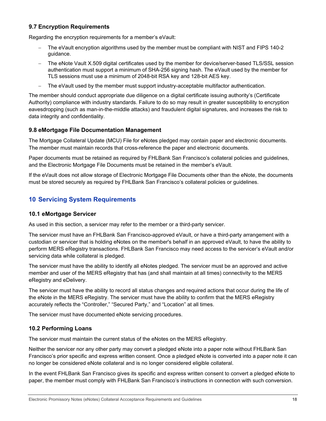# <span id="page-17-0"></span>**9.7 Encryption Requirements**

Regarding the encryption requirements for a member's eVault:

- − The eVault encryption algorithms used by the member must be compliant with NIST and FIPS 140-2 guidance.
- − The eNote Vault X.509 digital certificates used by the member for device/server-based TLS/SSL session authentication must support a minimum of SHA-256 signing hash. The eVault used by the member for TLS sessions must use a minimum of 2048-bit RSA key and 128-bit AES key.
- − The eVault used by the member must support industry-acceptable multifactor authentication.

The member should conduct appropriate due diligence on a digital certificate issuing authority's (Certificate Authority) compliance with industry standards. Failure to do so may result in greater susceptibility to encryption eavesdropping (such as man-in-the-middle attacks) and fraudulent digital signatures, and increases the risk to data integrity and confidentiality.

## <span id="page-17-1"></span>**9.8 eMortgage File Documentation Management**

The Mortgage Collateral Update (MCU) File for eNotes pledged may contain paper and electronic documents. The member must maintain records that cross-reference the paper and electronic documents.

Paper documents must be retained as required by FHLBank San Francisco's collateral policies and guidelines, and the Electronic Mortgage File Documents must be retained in the member's eVault.

If the eVault does not allow storage of Electronic Mortgage File Documents other than the eNote, the documents must be stored securely as required by FHLBank San Francisco's collateral policies or guidelines.

# <span id="page-17-2"></span>**10 Servicing System Requirements**

#### <span id="page-17-3"></span>**10.1 eMortgage Servicer**

As used in this section, a servicer may refer to the member or a third-party servicer.

The servicer must have an FHLBank San Francisco-approved eVault, or have a third-party arrangement with a custodian or servicer that is holding eNotes on the member's behalf in an approved eVault, to have the ability to perform MERS eRegistry transactions. FHLBank San Francisco may need access to the servicer's eVault and/or servicing data while collateral is pledged.

The servicer must have the ability to identify all eNotes pledged. The servicer must be an approved and active member and user of the MERS eRegistry that has (and shall maintain at all times) connectivity to the MERS eRegistry and eDelivery.

The servicer must have the ability to record all status changes and required actions that occur during the life of the eNote in the MERS eRegistry. The servicer must have the ability to confirm that the MERS eRegistry accurately reflects the "Controller," "Secured Party," and "Location" at all times.

The servicer must have documented eNote servicing procedures.

## <span id="page-17-4"></span>**10.2 Performing Loans**

The servicer must maintain the current status of the eNotes on the MERS eRegistry.

Neither the servicer nor any other party may convert a pledged eNote into a paper note without FHLBank San Francisco's prior specific and express written consent. Once a pledged eNote is converted into a paper note it can no longer be considered eNote collateral and is no longer considered eligible collateral.

In the event FHLBank San Francisco gives its specific and express written consent to convert a pledged eNote to paper, the member must comply with FHLBank San Francisco's instructions in connection with such conversion.